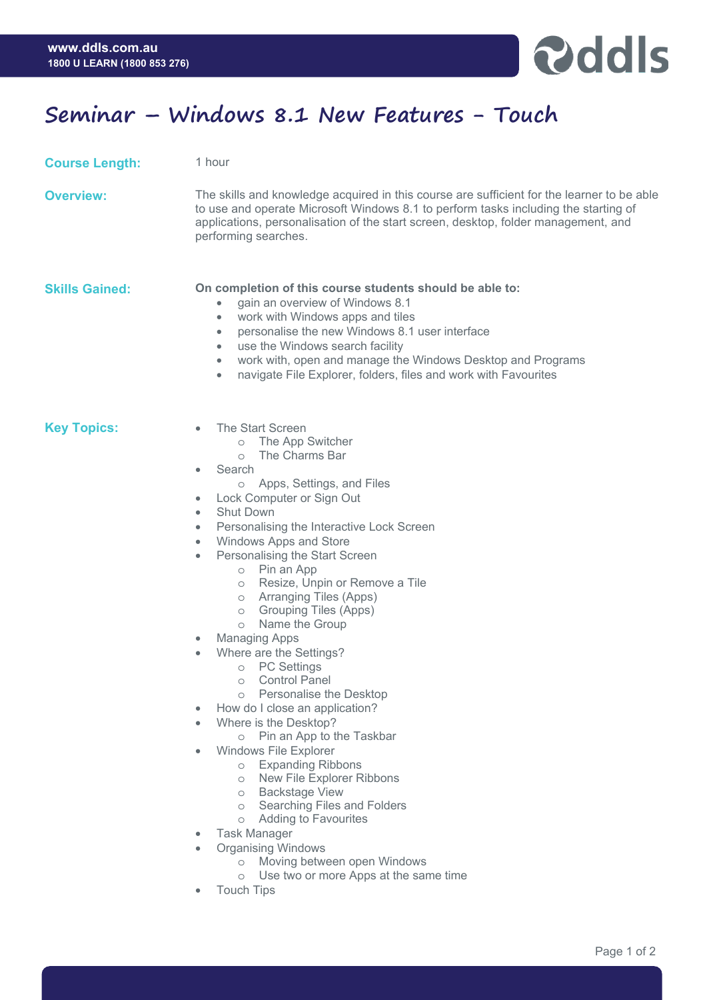

## **Seminar – Windows 8.1 New Features - Touch**

**Course Length:** 1 hour

**Overview:** The skills and knowledge acquired in this course are sufficient for the learner to be able to use and operate Microsoft Windows 8.1 to perform tasks including the starting of applications, personalisation of the start screen, desktop, folder management, and performing searches.

## **Skills Gained: On completion of this course students should be able to:**

- gain an overview of Windows 8.1
- work with Windows apps and tiles
- personalise the new Windows 8.1 user interface
- use the Windows search facility
- work with, open and manage the Windows Desktop and Programs
- navigate File Explorer, folders, files and work with Favourites

- **Key Topics:**  The Start Screen
	- o The App Switcher
	- o The Charms Bar
	- **Search** 
		- o Apps, Settings, and Files
	- Lock Computer or Sign Out
	- **Shut Down**
	- Personalising the Interactive Lock Screen
	- Windows Apps and Store
	- Personalising the Start Screen
		- o Pin an App
		- o Resize, Unpin or Remove a Tile
		- o Arranging Tiles (Apps)
		- o Grouping Tiles (Apps)
		- o Name the Group
	- Managing Apps
	- Where are the Settings?
		- o PC Settings
		- o Control Panel
		- o Personalise the Desktop
		- How do I close an application?
	- Where is the Desktop?
		- o Pin an App to the Taskbar
	- Windows File Explorer
		- o Expanding Ribbons
		- o New File Explorer Ribbons
		- o Backstage View
		- o Searching Files and Folders
		- o Adding to Favourites
	- Task Manager
	- Organising Windows
		- o Moving between open Windows
		- o Use two or more Apps at the same time
	- **Touch Tips**